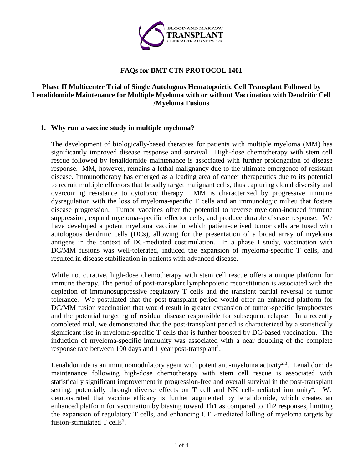

# **FAQs for BMT CTN PROTOCOL 1401**

# **Phase II Multicenter Trial of Single Autologous Hematopoietic Cell Transplant Followed by Lenalidomide Maintenance for Multiple Myeloma with or without Vaccination with Dendritic Cell /Myeloma Fusions**

# **1. Why run a vaccine study in multiple myeloma?**

The development of biologically-based therapies for patients with multiple myeloma (MM) has significantly improved disease response and survival. High-dose chemotherapy with stem cell rescue followed by lenalidomide maintenance is associated with further prolongation of disease response. MM, however, remains a lethal malignancy due to the ultimate emergence of resistant disease. Immunotherapy has emerged as a leading area of cancer therapeutics due to its potential to recruit multiple effectors that broadly target malignant cells, thus capturing clonal diversity and overcoming resistance to cytotoxic therapy. MM is characterized by progressive immune dysregulation with the loss of myeloma-specific T cells and an immunologic milieu that fosters disease progression. Tumor vaccines offer the potential to reverse myeloma-induced immune suppression, expand myeloma-specific effector cells, and produce durable disease response. We have developed a potent myeloma vaccine in which patient-derived tumor cells are fused with autologous dendritic cells (DCs), allowing for the presentation of a broad array of myeloma antigens in the context of DC-mediated costimulation. In a phase I study, vaccination with DC/MM fusions was well-tolerated, induced the expansion of myeloma-specific T cells, and resulted in disease stabilization in patients with advanced disease.

While not curative, high-dose chemotherapy with stem cell rescue offers a unique platform for immune therapy. The period of post-transplant lymphopoietic reconstitution is associated with the depletion of immunosuppressive regulatory T cells and the transient partial reversal of tumor tolerance. We postulated that the post-transplant period would offer an enhanced platform for DC/MM fusion vaccination that would result in greater expansion of tumor-specific lymphocytes and the potential targeting of residual disease responsible for subsequent relapse. In a recently completed trial, we demonstrated that the post-transplant period is characterized by a statistically significant rise in myeloma-specific T cells that is further boosted by DC-based vaccination. The induction of myeloma-specific immunity was associated with a near doubling of the complete response rate between 100 days and 1 year post-transplant<sup>1</sup>.

Lenalidomide is an immunomodulatory agent with potent anti-myeloma activity<sup>2,3</sup>. Lenalidomide maintenance following high-dose chemotherapy with stem cell rescue is associated with statistically significant improvement in progression-free and overall survival in the post-transplant setting, potentially through diverse effects on  $T$  cell and NK cell-mediated immunity<sup>4</sup>. We demonstrated that vaccine efficacy is further augmented by lenalidomide, which creates an enhanced platform for vaccination by biasing toward Th1 as compared to Th2 responses, limiting the expansion of regulatory T cells, and enhancing CTL-mediated killing of myeloma targets by fusion-stimulated  $T$  cells<sup>5</sup>.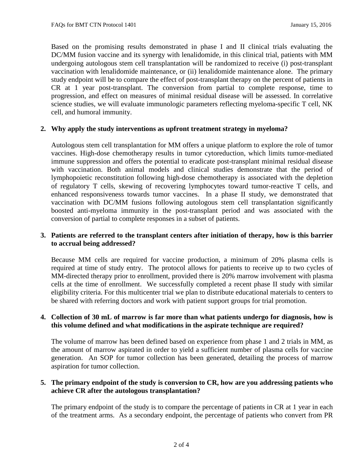Based on the promising results demonstrated in phase I and II clinical trials evaluating the DC/MM fusion vaccine and its synergy with lenalidomide, in this clinical trial, patients with MM undergoing autologous stem cell transplantation will be randomized to receive (i) post-transplant vaccination with lenalidomide maintenance, or (ii) lenalidomide maintenance alone. The primary study endpoint will be to compare the effect of post-transplant therapy on the percent of patients in CR at 1 year post-transplant. The conversion from partial to complete response, time to progression, and effect on measures of minimal residual disease will be assessed. In correlative science studies, we will evaluate immunologic parameters reflecting myeloma-specific T cell, NK cell, and humoral immunity.

# **2. Why apply the study interventions as upfront treatment strategy in myeloma?**

Autologous stem cell transplantation for MM offers a unique platform to explore the role of tumor vaccines. High-dose chemotherapy results in tumor cytoreduction, which limits tumor-mediated immune suppression and offers the potential to eradicate post-transplant minimal residual disease with vaccination. Both animal models and clinical studies demonstrate that the period of lymphopoietic reconstitution following high-dose chemotherapy is associated with the depletion of regulatory T cells, skewing of recovering lymphocytes toward tumor-reactive T cells, and enhanced responsiveness towards tumor vaccines. In a phase II study, we demonstrated that vaccination with DC/MM fusions following autologous stem cell transplantation significantly boosted anti-myeloma immunity in the post-transplant period and was associated with the conversion of partial to complete responses in a subset of patients.

### **3. Patients are referred to the transplant centers after initiation of therapy, how is this barrier to accrual being addressed?**

Because MM cells are required for vaccine production, a minimum of 20% plasma cells is required at time of study entry. The protocol allows for patients to receive up to two cycles of MM-directed therapy prior to enrollment, provided there is 20% marrow involvement with plasma cells at the time of enrollment. We successfully completed a recent phase II study with similar eligibility criteria. For this multicenter trial we plan to distribute educational materials to centers to be shared with referring doctors and work with patient support groups for trial promotion.

# **4. Collection of 30 mL of marrow is far more than what patients undergo for diagnosis, how is this volume defined and what modifications in the aspirate technique are required?**

The volume of marrow has been defined based on experience from phase 1 and 2 trials in MM, as the amount of marrow aspirated in order to yield a sufficient number of plasma cells for vaccine generation. An SOP for tumor collection has been generated, detailing the process of marrow aspiration for tumor collection.

# **5. The primary endpoint of the study is conversion to CR, how are you addressing patients who achieve CR after the autologous transplantation?**

The primary endpoint of the study is to compare the percentage of patients in CR at 1 year in each of the treatment arms. As a secondary endpoint, the percentage of patients who convert from PR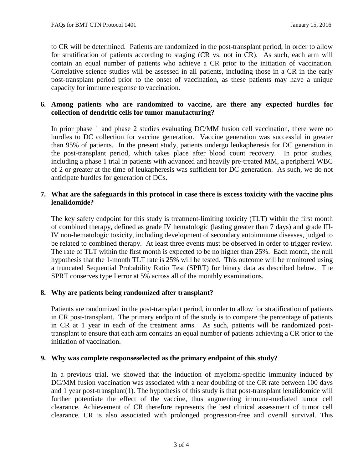to CR will be determined. Patients are randomized in the post-transplant period, in order to allow for stratification of patients according to staging (CR vs. not in CR). As such, each arm will contain an equal number of patients who achieve a CR prior to the initiation of vaccination. Correlative science studies will be assessed in all patients, including those in a CR in the early post-transplant period prior to the onset of vaccination, as these patients may have a unique capacity for immune response to vaccination.

# **6. Among patients who are randomized to vaccine, are there any expected hurdles for collection of dendritic cells for tumor manufacturing?**

In prior phase 1 and phase 2 studies evaluating DC/MM fusion cell vaccination, there were no hurdles to DC collection for vaccine generation. Vaccine generation was successful in greater than 95% of patients. In the present study, patients undergo leukapheresis for DC generation in the post-transplant period, which takes place after blood count recovery. In prior studies, including a phase 1 trial in patients with advanced and heavily pre-treated MM, a peripheral WBC of 2 or greater at the time of leukapheresis was sufficient for DC generation. As such, we do not anticipate hurdles for generation of DCs**.**

# **7. What are the safeguards in this protocol in case there is excess toxicity with the vaccine plus lenalidomide?**

The key safety endpoint for this study is treatment-limiting toxicity (TLT) within the first month of combined therapy, defined as grade IV hematologic (lasting greater than 7 days) and grade III-IV non-hematologic toxicity, including development of secondary autoimmune diseases, judged to be related to combined therapy. At least three events must be observed in order to trigger review. The rate of TLT within the first month is expected to be no higher than 25%. Each month, the null hypothesis that the 1-month TLT rate is 25% will be tested. This outcome will be monitored using a truncated Sequential Probability Ratio Test (SPRT) for binary data as described below. The SPRT conserves type I error at 5% across all of the monthly examinations.

# **8. Why are patients being randomized after transplant?**

Patients are randomized in the post-transplant period, in order to allow for stratification of patients in CR post-transplant. The primary endpoint of the study is to compare the percentage of patients in CR at 1 year in each of the treatment arms. As such, patients will be randomized posttransplant to ensure that each arm contains an equal number of patients achieving a CR prior to the initiation of vaccination.

### **9. Why was complete responseselected as the primary endpoint of this study?**

In a previous trial, we showed that the induction of myeloma-specific immunity induced by DC/MM fusion vaccination was associated with a near doubling of the CR rate between 100 days and 1 year post-transplant(1). The hypothesis of this study is that post-transplant lenalidomide will further potentiate the effect of the vaccine, thus augmenting immune-mediated tumor cell clearance. Achievement of CR therefore represents the best clinical assessment of tumor cell clearance. CR is also associated with prolonged progression-free and overall survival. This